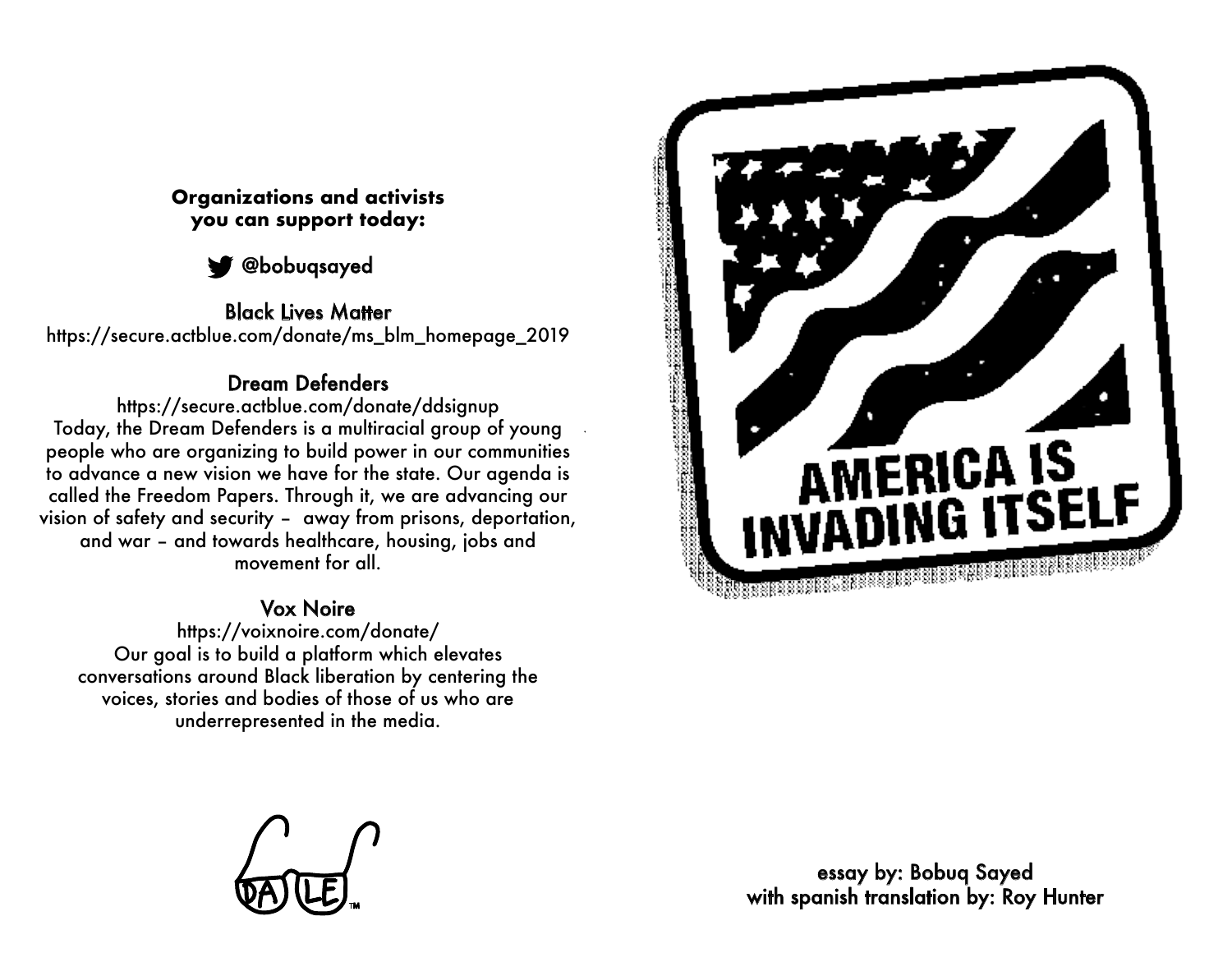## **Organizations and activists you can support today:**



Black Lives Matter

https://secure.actblue.com/donate/ms\_blm\_homepage\_2019

## Dream Defenders

https://secure.actblue.com/donate/ddsignup Today, the Dream Defenders is a multiracial group of young people who are organizing to build power in our communities to advance a new vision we have for the state. Our agenda is called the Freedom Papers. Through it, we are advancing our vision of safety and security – away from prisons, deportation, and war – and towards healthcare, housing, jobs and movement for all.

## Vox Noire

https://voixnoire.com/donate/ Our goal is to build a platform which elevates conversations around Black liberation by centering the voices, stories and bodies of those of us who are underrepresented in the media.



essay by: Bobuq Sayed with spanish translation by: Roy Hunter